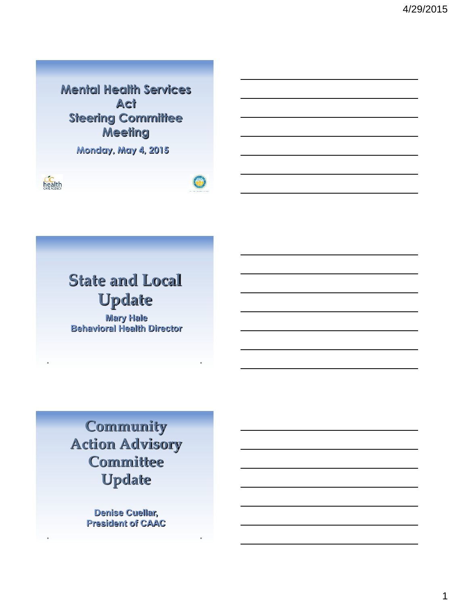**Mental Health Services Act Steering Committee Meeting**

**Monday, May 4, 2015** 





# **State and Local Update**

**Mary Hale Behavioral Health Director**

**Community Action Advisory Committee Update**

> **Denise Cuellar, President of CAAC**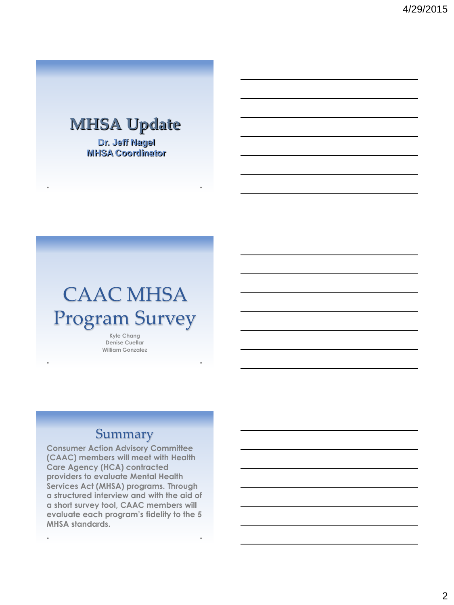## **MHSA Update**

**Dr. Jeff Nagel MHSA Coordinator**

# CAAC MHSA Program Survey

**Kyle Chang Denise Cuellar William Gonzalez**

#### **Summary**

**Consumer Action Advisory Committee (CAAC) members will meet with Health Care Agency (HCA) contracted providers to evaluate Mental Health Services Act (MHSA) programs. Through a structured interview and with the aid of a short survey tool, CAAC members will evaluate each program's fidelity to the 5 MHSA standards.** 

 $\ddot{\phantom{a}}$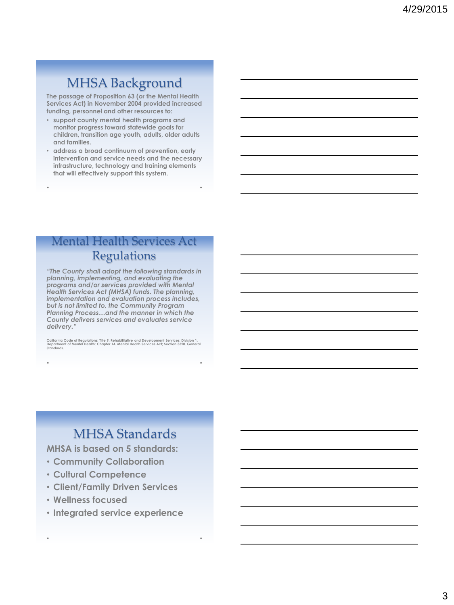### MHSA Background

**The passage of Proposition 63 (or the Mental Health Services Act) in November 2004 provided increased funding, personnel and other resources to:**

- **support county mental health programs and monitor progress toward statewide goals for children, transition age youth, adults, older adults and families.**
- **address a broad continuum of prevention, early intervention and service needs and the necessary infrastructure, technology and training elements that will effectively support this system.**

#### Mental Health Services Act Regulations

*"The County shall adopt the following standards in planning, implementing, and evaluating the programs and/or services provided with Mental Health Services Act (MHSA) funds. The planning, implementation and evaluation process includes, but is not limited to, the Community Program Planning Process…and the manner in which the County delivers services and evaluates service delivery."* 

California Code of Regulations; Title 9. Rehabilitative and Development Services; Division 1.<br>Department of Mental Health; Chapter 14. Mental Health Services Act; Section 3320. General<br>Standards.

### MHSA Standards

**MHSA is based on 5 standards:**

- **Community Collaboration**
- **Cultural Competence**
- **Client/Family Driven Services**
- **Wellness focused**
- **Integrated service experience**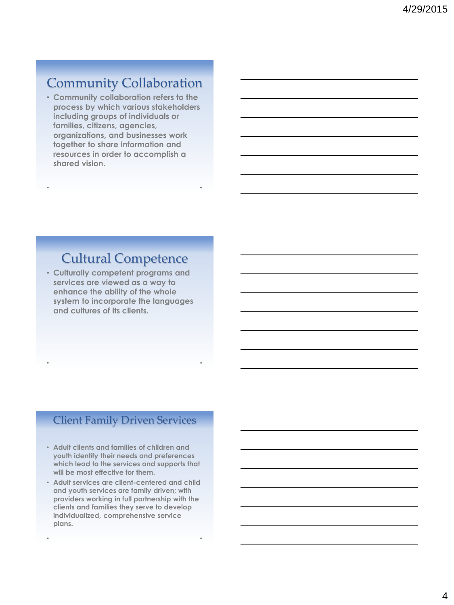### Community Collaboration

• **Community collaboration refers to the process by which various stakeholders including groups of individuals or families, citizens, agencies, organizations, and businesses work together to share information and resources in order to accomplish a shared vision.** 

#### Cultural Competence

• **Culturally competent programs and services are viewed as a way to enhance the ability of the whole system to incorporate the languages and cultures of its clients.** 

#### Client Family Driven Services

- **Adult clients and families of children and youth identify their needs and preferences which lead to the services and supports that will be most effective for them.**
- **Adult services are client-centered and child and youth services are family driven; with providers working in full partnership with the clients and families they serve to develop individualized, comprehensive service plans.**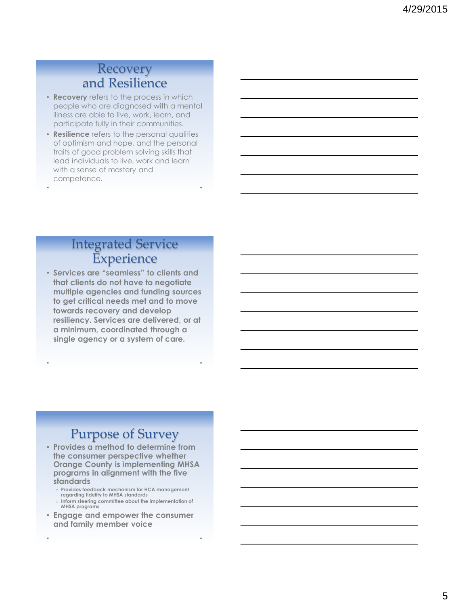#### Recovery and Resilience

well<del>ness Focused – Andre</del>

- **Recovery** refers to the process in which people who are diagnosed with a mental illness are able to live, work, learn, and participate fully in their communities.
- **Resilience** refers to the personal qualities of optimism and hope, and the personal traits of good problem solving skills that lead individuals to live, work and learn with a sense of mastery and competence.

#### Integrated Service **Experience**

• **Services are "seamless" to clients and that clients do not have to negotiate multiple agencies and funding sources to get critical needs met and to move towards recovery and develop resiliency. Services are delivered, or at a minimum, coordinated through a single agency or a system of care.** 

#### Purpose of Survey

- **Provides a method to determine from the consumer perspective whether Orange County is implementing MHSA programs in alignment with the five standards**
	- o **Provides feedback mechanism for HCA management regarding fidelity to MHSA standards**
	- o **Inform steering committee about the implementation of MHSA programs**
- **Engage and empower the consumer and family member voice**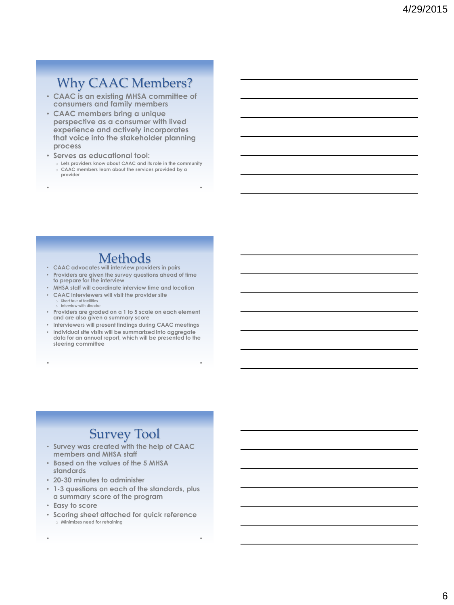### Why CAAC Members?

- **CAAC is an existing MHSA committee of consumers and family members**
- **CAAC members bring a unique perspective as a consumer with lived experience and actively incorporates that voice into the stakeholder planning process**
- **Serves as educational tool:**
	- o **Lets providers know about CAAC and its role in the community** o **CAAC members learn about the services provided by a provider**

#### **Methods**

- **CAAC advocates will interview providers in pairs**
- **Providers are given the survey questions ahead of time to prepare for the interview**
- **MHSA staff will coordinate interview time and location** • **CAAC interviewers will visit the provider site**
	- **Short tour of facilities** o **Interview with director**

**steering committee**

- **Providers are graded on a 1 to 5 scale on each element and are also given a summary score**
- **Interviewers will present findings during CAAC meetings** • **Individual site visits will be summarized into aggregate data for an annual report, which will be presented to the**

### Survey Tool

- **Survey was created with the help of CAAC members and MHSA staff**
- **Based on the values of the 5 MHSA standards**
- **20-30 minutes to administer**
- **1-3 questions on each of the standards, plus a summary score of the program**
- **Easy to score**
- **Scoring sheet attached for quick reference** o **Minimizes need for retraining**

6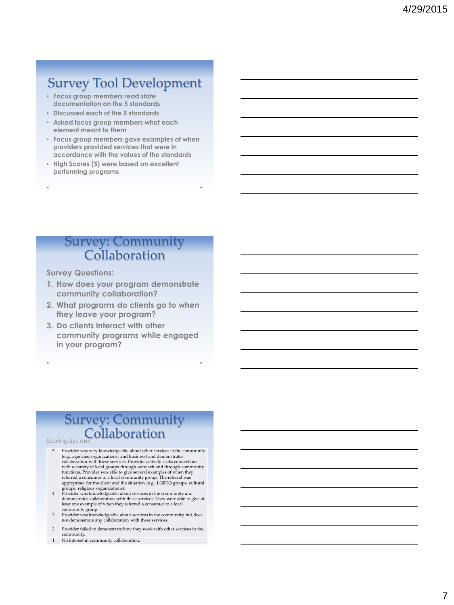#### Survey Tool Development

- **Focus group members read state documentation on the 5 standards**
- **Discussed each of the 5 standards**
- **Asked focus group members what each element meant to them**
- **Focus group members gave examples of when providers provided services that were in accordance with the values of the standards**
- **High Scores (5) were based on excellent performing programs**

#### Survey: Community Collaboration

**Survey Questions:**

- **1. How does your program demonstrate community collaboration?**
- **2. What programs do clients go to when they leave your program?**
- **3. Do clients interact with other community programs while engaged in your program?**

#### Survey: Community Collaboration

Scoring System:

- 5 Provider was very knowledgeable about other services in the community (e.g., agencies, organizations, and business) and demonstrates collaboration with these services. Provider actively seeks connections<br>with a variety of local groups through outreach and through community<br>functions. Provider was able to give several examples of when they referred a consumer to a local community group. The referral was appropriate for the client and the situation (e.g., LGBTQ groups, cultural groups, religious organizations).
- 4 Provider was knowledgeable about services in the community and demonstrates collaboration with these services. They were able to give at least one example of when they referred a consumer to a local
- community group. 3 Provider was knowledgeable about services in the community, but does not demonstrate any collaboration with these services.
- 2 Provider failed to demonstrate how they work with other services in the community.
- 1 No interest in community collaboration.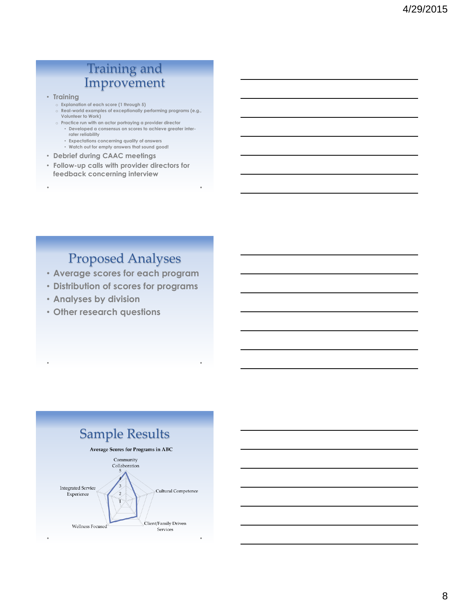#### Training and Improvement

- **Training**
	- o **Explanation of each score (1 through 5)**
	- o **Real-world examples of exceptionally performing programs (e.g., Volunteer to Work)**
	- o **Practice run with an actor portraying a provider director** • **Developed a consensus on scores to achieve greater inter**
		- **rater reliability**
		- **Expectations concerning quality of answers**
		- **Watch out for empty answers that sound good!**
- **Debrief during CAAC meetings**
- **Follow-up calls with provider directors for feedback concerning interview**

### Proposed Analyses

- **Average scores for each program**
- **Distribution of scores for programs**
- **Analyses by division**
- **Other research questions**

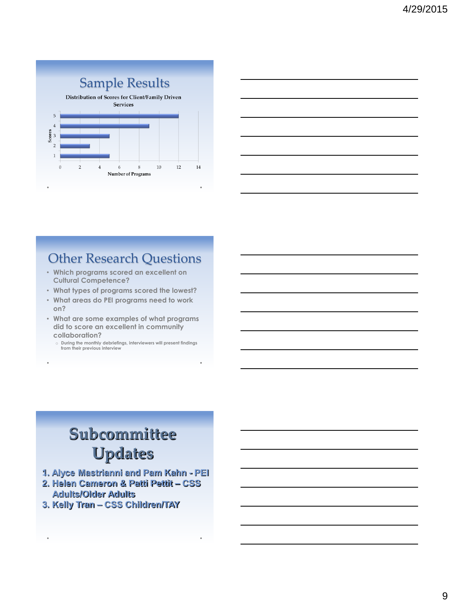

| <u> 1989 - Johann Stoff, deutscher Stoffen und der Stoffen und der Stoffen und der Stoffen und der Stoffen und de</u> |  |  |
|-----------------------------------------------------------------------------------------------------------------------|--|--|
| <u> 1989 - Johann Barn, amerikan berkemaan di sebagai berkemaan di sebagai berkemaan di sebagai berkemaan di seba</u> |  |  |
| <u> 1989 - Johann Stoff, deutscher Stoff, der Stoff, der Stoff, der Stoff, der Stoff, der Stoff, der Stoff, der S</u> |  |  |
| <u> 1980 - Johann Barbara, martxa alemaniar arg</u>                                                                   |  |  |
|                                                                                                                       |  |  |
|                                                                                                                       |  |  |

### Other Research Questions

- **Which programs scored an excellent on Cultural Competence?**
- **What types of programs scored the lowest?**
- **What areas do PEI programs need to work on?**
- **What are some examples of what programs did to score an excellent in community collaboration?**
	- o **During the monthly debriefings, interviewers will present findings from their previous interview**

# **Subcommittee Updates**

- **1. Alyce Mastrianni and Pam Kahn - PEI**
- **2. Helen Cameron & Patti Pettit – CSS Adults/Older Adults**
- **3. Kelly Tran – CSS Children/TAY**